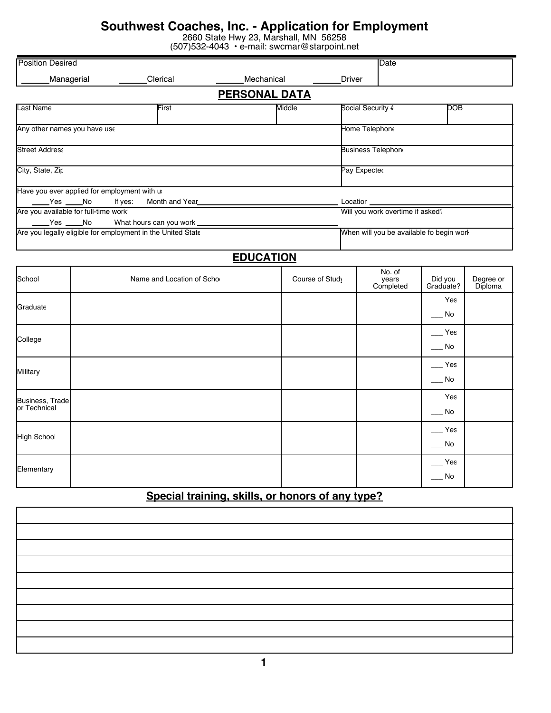# **Southwest Coaches, Inc. - Application for Employment**

2660 State Hwy 23, Marshall, MN 56258

|  |  | (507)532-4043 · e-mail: swcmar@starpoint.net |
|--|--|----------------------------------------------|
|--|--|----------------------------------------------|

|                                                  |                                                             | סו טוב בשטונט             |                      | $\sigma$ main. $\sigma$ is one in an $\sigma$ or an point. For |                   |                                          |                             |                      |
|--------------------------------------------------|-------------------------------------------------------------|---------------------------|----------------------|----------------------------------------------------------------|-------------------|------------------------------------------|-----------------------------|----------------------|
| <b>Position Desired</b>                          |                                                             |                           |                      |                                                                |                   | Date                                     |                             |                      |
| Managerial                                       |                                                             | Clerical                  | Mechanical           |                                                                | <b>Driver</b>     |                                          |                             |                      |
|                                                  |                                                             |                           | <b>PERSONAL DATA</b> |                                                                |                   |                                          |                             |                      |
| Last Name                                        |                                                             | First                     |                      | Middle                                                         | Social Security # |                                          | $\overline{\text{DOB}}$     |                      |
| Any other names you have use                     |                                                             |                           |                      |                                                                |                   | Home Telephone                           |                             |                      |
| <b>Street Address</b>                            |                                                             |                           |                      |                                                                |                   | <b>Business Telephon</b>                 |                             |                      |
| City, State, Zip                                 |                                                             |                           |                      |                                                                | Pay Expected      |                                          |                             |                      |
|                                                  | Have you ever applied for employment with us                |                           |                      |                                                                |                   |                                          |                             |                      |
| Yes No                                           | If yes:                                                     | Month and Year            |                      |                                                                |                   | Locatior ___________                     |                             |                      |
| $\rule{1em}{0.15mm}$ Yes $\rule{1em}{0.15mm}$ No | Are you available for full-time work                        | What hours can you work _ |                      |                                                                |                   | Will you work overtime if asked?         |                             |                      |
|                                                  | Are you legally eligible for employment in the United State |                           |                      |                                                                |                   | When will you be available fo begin work |                             |                      |
|                                                  |                                                             |                           | <b>EDUCATION</b>     |                                                                |                   |                                          |                             |                      |
| School                                           |                                                             | Name and Location of Scho |                      | Course of Study                                                |                   | No. of<br>years<br>Completed             | Did you<br>Graduate?        | Degree or<br>Diploma |
| Graduate                                         |                                                             |                           |                      |                                                                |                   |                                          | $\equiv$ Yes<br>$\_\_$ No   |                      |
|                                                  |                                                             |                           |                      |                                                                |                   |                                          | $-$ Yes                     |                      |
| College                                          |                                                             |                           |                      |                                                                |                   |                                          | $\rule{1em}{0.15mm}$ No     |                      |
| Military                                         |                                                             |                           |                      |                                                                |                   |                                          | $-$ Yes                     |                      |
|                                                  |                                                             |                           |                      |                                                                |                   |                                          | $\overline{\phantom{0}}$ No |                      |
| Business, Trade<br>or Technical                  |                                                             |                           |                      |                                                                |                   |                                          | $-$ Yes                     |                      |
|                                                  |                                                             |                           |                      |                                                                |                   |                                          | $\_\_$ No                   |                      |
| High School                                      |                                                             |                           |                      |                                                                |                   |                                          | $\equiv$ Yes                |                      |
|                                                  |                                                             |                           |                      |                                                                |                   |                                          | $\overline{\phantom{0}}$ No |                      |
| Elementary                                       |                                                             |                           |                      |                                                                |                   |                                          | $\equiv$ Yes<br>$\_\_$ No   |                      |
|                                                  |                                                             | .                         |                      |                                                                |                   |                                          |                             |                      |

### **Special training, skills, or honors of any type?**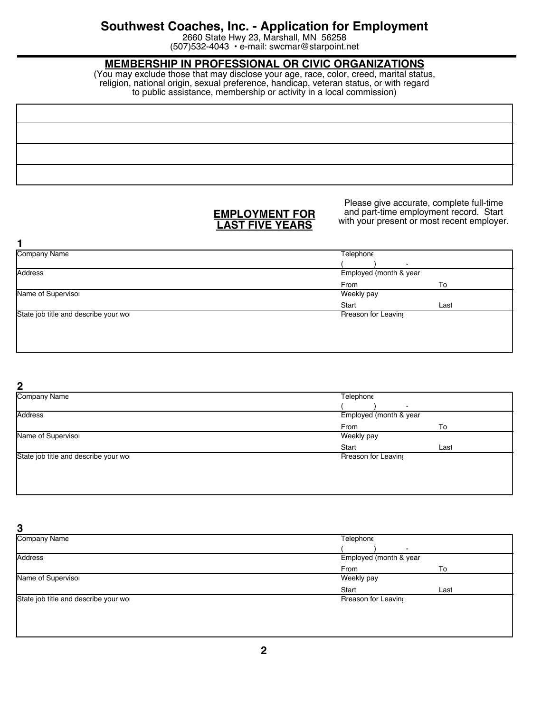## **Southwest Coaches, Inc. - Application for Employment**

2660 State Hwy 23, Marshall, MN 56258 (507)532-4043 • e-mail: swcmar@starpoint.net

### **MEMBERSHIP IN PROFESSIONAL OR CIVIC ORGANIZATIONS**

(You may exclude those that may disclose your age, race, color, creed, marital status, religion, national origin, sexual preference, handicap, veteran status, or with regard to public assistance, membership or activity in a local commission)

### **EMPLOYMENT FOR LAST FIVE YEARS**

Please give accurate, complete full-time and part-time employment record. Start with your present or most recent employer.

| <b>Company Name</b>                  | Telephone           |                        |  |
|--------------------------------------|---------------------|------------------------|--|
|                                      |                     |                        |  |
| <b>Address</b>                       |                     | Employed (month & year |  |
|                                      | From                | To                     |  |
| Name of Supervisor                   | Weekly pay          |                        |  |
|                                      | Start               | Last                   |  |
| State job title and describe your wo | Rreason for Leaving |                        |  |
|                                      |                     |                        |  |
|                                      |                     |                        |  |
|                                      |                     |                        |  |

**2**

| <b>Company Name</b>                  | Telephone              |      |  |
|--------------------------------------|------------------------|------|--|
|                                      | -                      |      |  |
| <b>Address</b>                       | Employed (month & year |      |  |
|                                      | From                   | To   |  |
| Name of Supervisor                   | Weekly pay             |      |  |
|                                      | Start                  | Last |  |
| State job title and describe your wo | Rreason for Leaving    |      |  |
|                                      |                        |      |  |
|                                      |                        |      |  |
|                                      |                        |      |  |

**3** Company Name **Address** Name of Supervisor State job title and describe your wo **Telephone** Employed (month & year) Weekly pay Rreason for Leaving From To Start Last ( ) -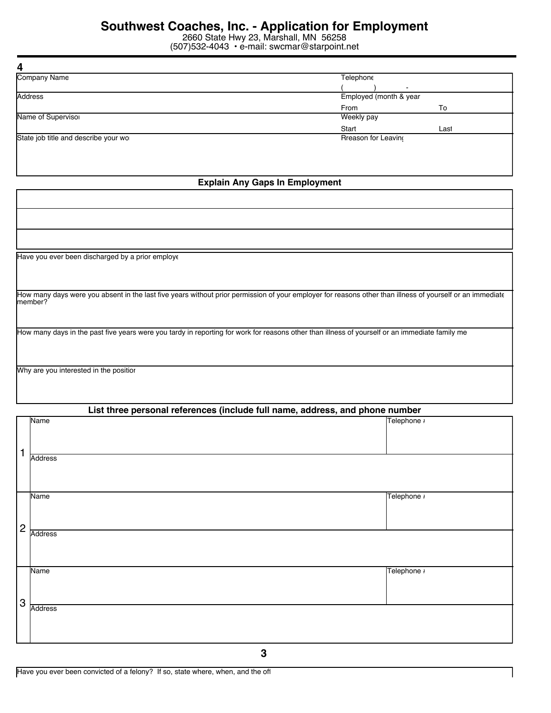2660 State Hwy 23, Marshall, MN 56258 (507)532-4043 • e-mail: swcmar@starpoint.net

| 4                                    |                            |                        |  |
|--------------------------------------|----------------------------|------------------------|--|
| <b>Company Name</b>                  | Telephone                  |                        |  |
|                                      | $\overline{\phantom{0}}$   |                        |  |
| <b>Address</b>                       |                            | Employed (month & year |  |
|                                      | From                       | To                     |  |
| Name of Supervisor                   | Weekly pay                 |                        |  |
|                                      | Start                      | Last                   |  |
| State job title and describe your wo | <b>Rreason for Leaving</b> |                        |  |
|                                      |                            |                        |  |
|                                      |                            |                        |  |

#### **Explain Any Gaps In Employment**

| Have you ever been discharged by a prior employe                                                                                                                     |
|----------------------------------------------------------------------------------------------------------------------------------------------------------------------|
|                                                                                                                                                                      |
|                                                                                                                                                                      |
| How many days were you absent in the last five years without prior permission of your employer for reasons other than illness of yourself or an immediate<br>member? |
|                                                                                                                                                                      |
| How many days in the past five years were you tardy in reporting for work for reasons other than illness of yourself or an immediate family me                       |
|                                                                                                                                                                      |
|                                                                                                                                                                      |
| Why are you interested in the position                                                                                                                               |
|                                                                                                                                                                      |
|                                                                                                                                                                      |

|                | List three personal references (include full name, address, and phone number |  |             |  |
|----------------|------------------------------------------------------------------------------|--|-------------|--|
| 1              | Name                                                                         |  | Telephone # |  |
|                | <b>Address</b>                                                               |  |             |  |
| $\overline{c}$ | <b>Name</b>                                                                  |  | Telephone # |  |
|                | <b>Address</b>                                                               |  |             |  |
| 3              | Name                                                                         |  | Telephone # |  |
|                | <b>Address</b>                                                               |  |             |  |